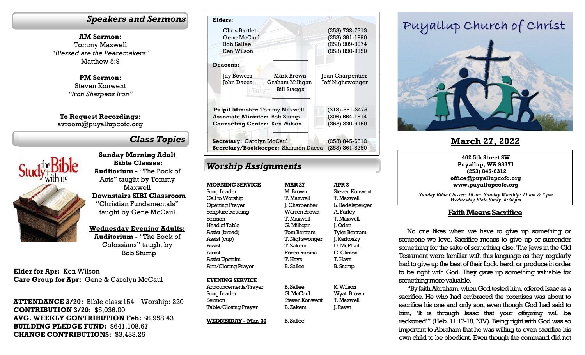#### *Speakers and Sermons*

**AM Sermon:** Tommy Maxwell *"Blessed are the Peacemakers"* Matthew 5:9

> **PM Sermon:** Steven Konwent *"Iron Sharpens Iron"*

**To Request Recordings:** avroom@puyallupcofc.org

# *Class Topics*



**Sunday Morning Adult Bible Classes: Auditorium** - "The Book of Acts" taught by Tommy Maxwell **Downstairs SIBI Classroom**  "Christian Fundamentals" taught by Gene McCaul

**Wednesday Evening Adults:** 

**Auditorium** - "The Book of Colossians" taught by Bob Stump

**Elder for Apr:** Ken Wilson **Care Group for Apr:** Gene & Carolyn McCaul

**ATTENDANCE 3/20:** Bible class:154 Worship: 220 **CONTRIBUTION 3/20:** \$5,036.00 **AVG. WEEKLY CONTRIBUTION Feb:** \$6,958.43 **BUILDING PLEDGE FUND:** \$641,108.67 **CHANGE CONTRIBUTIONS:** \$3,433.25

| Elders:                                                       |                      |
|---------------------------------------------------------------|----------------------|
| Chris Bartlett                                                | (253) 732-7313       |
| Gene McCaul                                                   | (253) 381-1990       |
| <b>Bob Sallee</b>                                             | (253) 209-0074       |
| Ken Wilson                                                    | (253) 820-9150       |
| <b>Deacons:</b>                                               |                      |
| Mark Brown<br><b>Jay Bowers</b>                               | Jean Charpentier     |
| John Dacca<br>Graham Milligan<br><b>Bill Staggs</b><br>CHRIST | Jeff Nighswonger     |
| <b>Pulpit Minister: Tommy Maxwell</b>                         | $(318) - 351 - 3475$ |
| <b>Associate Minister: Bob Stump</b>                          | $(206) 664 - 1814$   |
| <b>Counseling Center: Ken Wilson</b>                          | (253) 820-9150       |
| Secretary: Carolyn McCaul                                     | (253) 845-6312       |
| Secretary/Bookkeeper: Shannon Dacca                           | $(253) 861 - 8280$   |

# *Worship Assignments*

**MORNING SERVICE** Song Leader Call to Worship Opening Prayer Scripture Reading Sermon Head of Table Assist (bread) Assist (cup) Assist Assist Assist Upstairs Ann/Closing Prayer

#### **EVENING SERVICE**

Announcements/Prayer Song Leader Sermon Table/Closing Prayer

**WEDNESDAY - Mar. 30**

**MAR 27** M. Brown T. Maxwell J. Charpentier Warren Brown T. Maxwell G. Milligan Tom Bertram T. Nighswonger T. Zakem Rocco Rubina T. Hays B. Sallee **APR 3** Steven Konwent T. Maxwell L. Redelsperger A. Farley T. Maxwell J. Oden Tyler Bertram J. Karkosky D. McPhail C. Clinton T. Hays B. Stump

G. McCaul Steven Konwent K. Wilson T. Maxwell J. Ravet

# Wyatt Brown

B. Zakem B. Sallee

B. Sallee

### **Faith Means Sacrifice**

No one likes when we have to give up something or someone we love. Sacrifice means to give up or surrender something for the sake of something else. The Jews in the Old Testament were familiar with this language as they regularly had to give up the best of their flock, herd, or produce in order to be right with God. They gave up something valuable for something more valuable.

"By faith Abraham, when God tested him, offered Isaac as a sacrifice. He who had embraced the promises was about to sacrifice his one and only son, even though God had said to him, 'It is through Isaac that your offspring will be reckoned'" (Heb. 11:17-18, NIV). Being right with God was so important to Abraham that he was willing to even sacrifice his own child to be obedient. Even though the command did not

# Puyallup Church of Christ



# **March 27, 2022**

**402 5th Street SW Puyallup, WA 98371 (253) 845-6312 office@puyallupcofc.org www.puyallupcofc.org** 

*Sunday Bible Classes: 10 am Sunday Worship: 11 am & 5 pm Wednesday Bible Study: 6:30 pm*